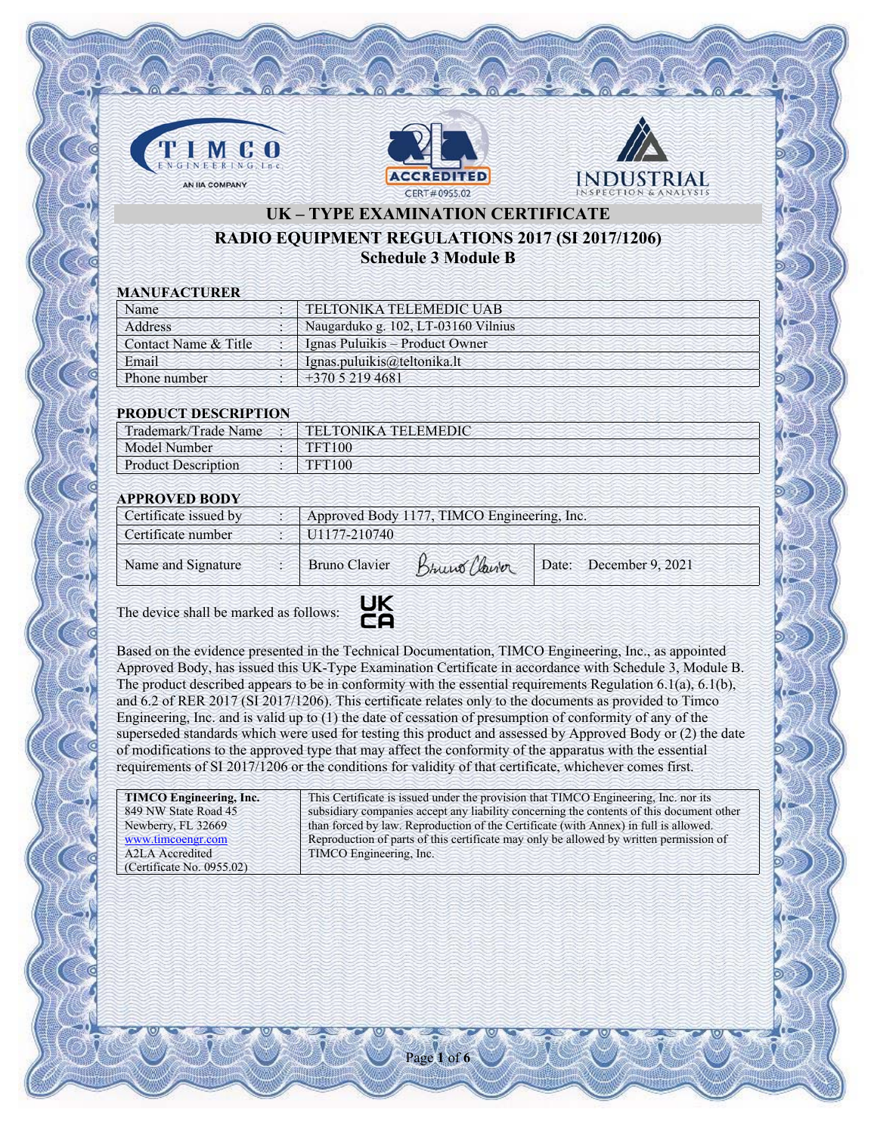





## **UK – TYPE EXAMINATION CERTIFICATE RADIO EQUIPMENT REGULATIONS 2017 (SI 2017/1206) Schedule 3 Module B**

### **MANUFACTURER**

| Name                 | TELTONIKA TELEMEDIC UAB             |
|----------------------|-------------------------------------|
| Address              | Naugarduko g. 102, LT-03160 Vilnius |
| Contact Name & Title | Ignas Puluikis – Product Owner      |
| Email                | Ignas.puluikis@teltonika.lt         |
| Phone number         | $+37052194681$                      |
|                      |                                     |

### **PRODUCT DESCRIPTION**

| Trademark/Trade Name       | <b>TELTONIKA TELEMEDIC</b> |
|----------------------------|----------------------------|
| Model Number               | <b>TFT100</b>              |
| <b>Product Description</b> | TFT100                     |

## **APPROVED BODY**

| Certificate issued by | Approved Body 1177, TIMCO Engineering, Inc. |               |                        |  |
|-----------------------|---------------------------------------------|---------------|------------------------|--|
| Certificate number    | U1177-210740                                |               |                        |  |
| Name and Signature    | <b>Bruno Clavier</b>                        | Bruno Clairor | Date: December 9, 2021 |  |

The device shall be marked as follows:



Based on the evidence presented in the Technical Documentation, TIMCO Engineering, Inc., as appointed Approved Body, has issued this UK-Type Examination Certificate in accordance with Schedule 3, Module B. The product described appears to be in conformity with the essential requirements Regulation 6.1(a), 6.1(b), and 6.2 of RER 2017 (SI 2017/1206). This certificate relates only to the documents as provided to Timco Engineering, Inc. and is valid up to (1) the date of cessation of presumption of conformity of any of the superseded standards which were used for testing this product and assessed by Approved Body or (2) the date of modifications to the approved type that may affect the conformity of the apparatus with the essential requirements of SI 2017/1206 or the conditions for validity of that certificate, whichever comes first.

| TIMCO Engineering, Inc.      | This Certificate is issued under the provision that TIMCO Engineering, Inc. nor its      |
|------------------------------|------------------------------------------------------------------------------------------|
| 849 NW State Road 45         | subsidiary companies accept any liability concerning the contents of this document other |
| Newberry, FL 32669           | than forced by law. Reproduction of the Certificate (with Annex) in full is allowed.     |
| www.timcoengr.com            | Reproduction of parts of this certificate may only be allowed by written permission of   |
| A <sub>2</sub> LA Accredited | TIMCO Engineering, Inc.                                                                  |
| (Certificate No. 0955.02)    |                                                                                          |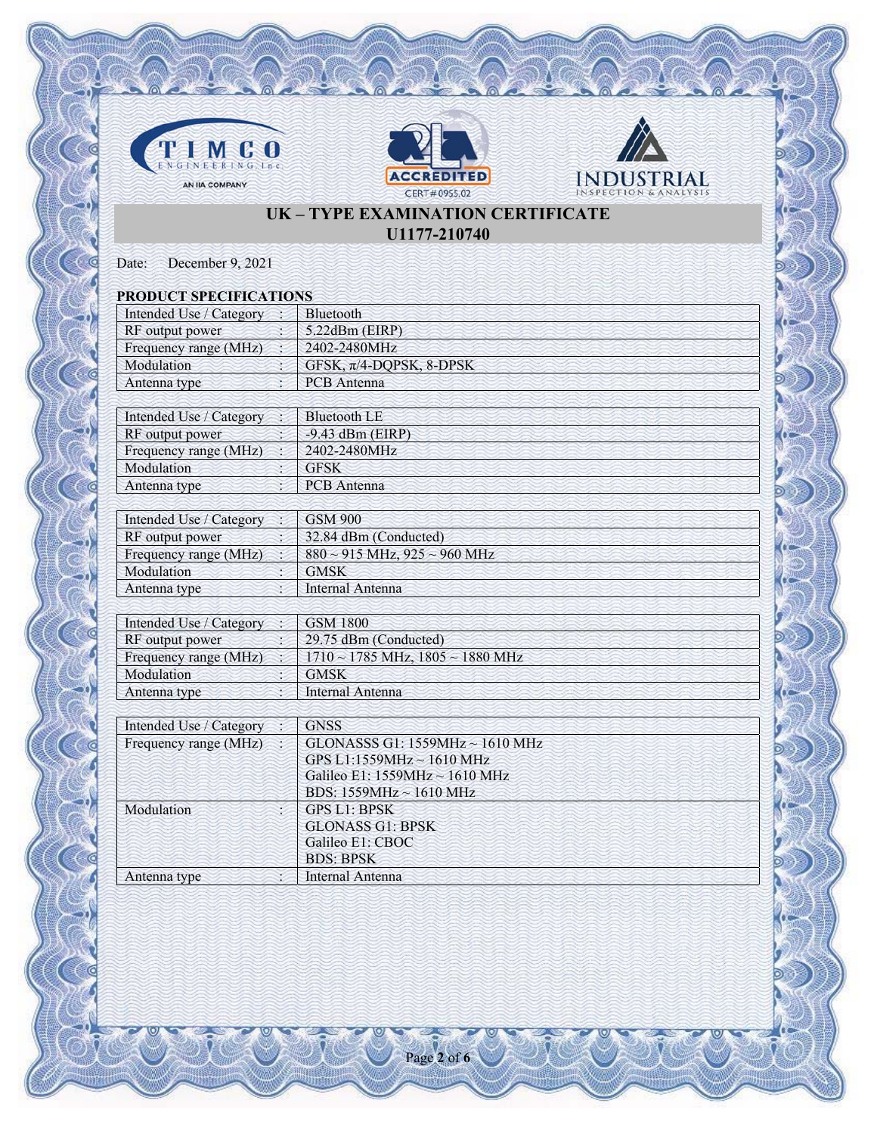





# **UK – TYPE EXAMINATION CERTIFICATE U1177-210740**

Date: December 9, 2021

| <b>PRODUCT SPECIFICATIONS</b> |                                            |
|-------------------------------|--------------------------------------------|
| Intended Use / Category       | Bluetooth                                  |
| RF output power               | 5.22dBm (EIRP)                             |
| Frequency range (MHz)         | 2402-2480MHz                               |
| Modulation                    | GFSK, $\pi$ /4-DQPSK, 8-DPSK               |
| Antenna type                  | <b>PCB</b> Antenna                         |
|                               |                                            |
| Intended Use / Category       | <b>Bluetooth LE</b>                        |
| RF output power               | $-9.43$ dBm (EIRP)                         |
| Frequency range (MHz)         | 2402-2480MHz                               |
| Modulation                    | <b>GFSK</b>                                |
| Antenna type                  | <b>PCB</b> Antenna                         |
|                               |                                            |
| Intended Use / Category       | <b>GSM 900</b>                             |
| RF output power               | 32.84 dBm (Conducted)                      |
| Frequency range (MHz)         | $880 \sim 915$ MHz, $925 \sim 960$ MHz     |
| Modulation                    | <b>GMSK</b>                                |
| Antenna type                  | Internal Antenna                           |
|                               |                                            |
| Intended Use / Category       | <b>GSM 1800</b>                            |
| RF output power               | 29.75 dBm (Conducted)                      |
| Frequency range (MHz)         | $1710 \sim 1785$ MHz, $1805 \sim 1880$ MHz |
| Modulation                    | <b>GMSK</b>                                |
| Antenna type                  | Internal Antenna                           |
|                               |                                            |
| Intended Use / Category       | <b>GNSS</b>                                |
| Frequency range (MHz)         | GLONASSS G1: 1559MHz ~ 1610 MHz            |
|                               | GPS L1:1559MHz ~ 1610 MHz                  |
|                               | Galileo E1: 1559MHz ~ 1610 MHz             |
|                               | BDS: 1559MHz ~ 1610 MHz                    |
| Modulation                    | <b>GPS L1: BPSK</b>                        |
|                               | <b>GLONASS G1: BPSK</b>                    |
|                               | Galileo E1: CBOC                           |
|                               | <b>BDS: BPSK</b>                           |
| Antenna type                  | Internal Antenna                           |

Page **2** of **6**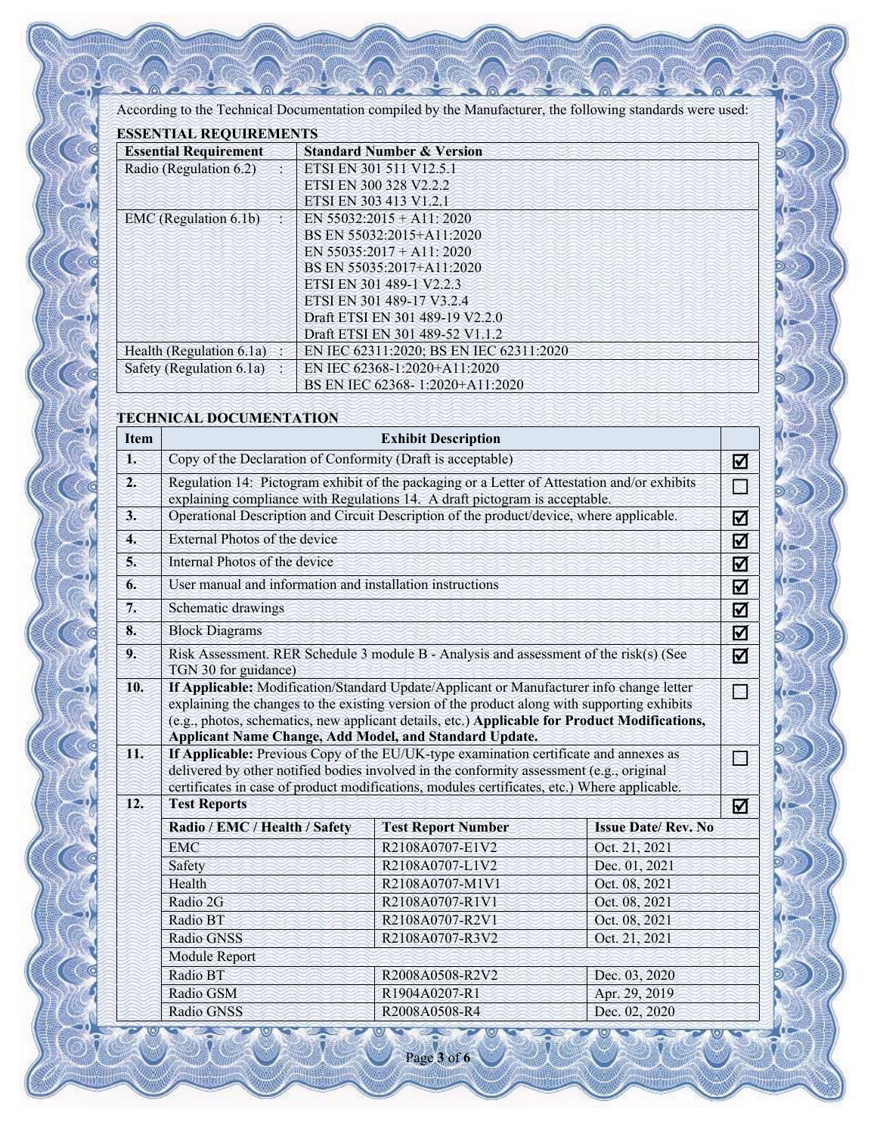According to the Technical Documentation compiled by the Manufacturer, the following standards were used:

| <b>ESSENTIAL REQUIREMENTS</b> |                                         |  |  |
|-------------------------------|-----------------------------------------|--|--|
| <b>Essential Requirement</b>  | <b>Standard Number &amp; Version</b>    |  |  |
| Radio (Regulation 6.2)        | ETSI EN 301 511 V12.5.1                 |  |  |
|                               | ETSI EN 300 328 V2.2.2                  |  |  |
|                               | ETSI EN 303 413 V1.2.1                  |  |  |
| EMC (Regulation 6.1b)         | EN $55032:2015 + A11:2020$              |  |  |
|                               | BS EN 55032:2015+A11:2020               |  |  |
|                               | EN $55035:2017 + A11:2020$              |  |  |
|                               | BS EN 55035:2017+A11:2020               |  |  |
|                               | ETSI EN 301 489-1 V2.2.3                |  |  |
|                               | ETSI EN 301 489-17 V3.2.4               |  |  |
|                               | Draft ETSI EN 301 489-19 V2.2.0         |  |  |
|                               | Draft ETSI EN 301 489-52 V1.1.2         |  |  |
| Health (Regulation 6.1a)      | EN IEC 62311:2020; BS EN IEC 62311:2020 |  |  |
| Safety (Regulation 6.1a)      | EN IEC 62368-1:2020+A11:2020            |  |  |
|                               | BS EN IEC 62368-1:2020+A11:2020         |  |  |

## **TECHNICAL DOCUMENTATION**

| <b>Item</b>      | <b>Exhibit Description</b>                                                                                                                                                                                                                                                                                                                          |                           |                           |        |  |  |
|------------------|-----------------------------------------------------------------------------------------------------------------------------------------------------------------------------------------------------------------------------------------------------------------------------------------------------------------------------------------------------|---------------------------|---------------------------|--------|--|--|
| 1.               | Copy of the Declaration of Conformity (Draft is acceptable)                                                                                                                                                                                                                                                                                         |                           |                           |        |  |  |
| $\overline{2}$ . | Regulation 14: Pictogram exhibit of the packaging or a Letter of Attestation and/or exhibits<br>explaining compliance with Regulations 14. A draft pictogram is acceptable.                                                                                                                                                                         |                           |                           |        |  |  |
| 3.               | Operational Description and Circuit Description of the product/device, where applicable.                                                                                                                                                                                                                                                            |                           |                           | ☑      |  |  |
| 4.               | External Photos of the device                                                                                                                                                                                                                                                                                                                       |                           |                           | ☑      |  |  |
| 5.               | Internal Photos of the device                                                                                                                                                                                                                                                                                                                       |                           |                           |        |  |  |
| 6.               | User manual and information and installation instructions                                                                                                                                                                                                                                                                                           |                           |                           | ☑<br>☑ |  |  |
| 7.               | Schematic drawings                                                                                                                                                                                                                                                                                                                                  |                           |                           |        |  |  |
| 8.               | <b>Block Diagrams</b>                                                                                                                                                                                                                                                                                                                               |                           |                           |        |  |  |
| 9.               | Risk Assessment. RER Schedule 3 module B - Analysis and assessment of the risk(s) (See<br>TGN 30 for guidance)                                                                                                                                                                                                                                      |                           |                           |        |  |  |
| 10.              | If Applicable: Modification/Standard Update/Applicant or Manufacturer info change letter<br>explaining the changes to the existing version of the product along with supporting exhibits<br>(e.g., photos, schematics, new applicant details, etc.) Applicable for Product Modifications,<br>Applicant Name Change, Add Model, and Standard Update. |                           |                           |        |  |  |
| 11.              | If Applicable: Previous Copy of the EU/UK-type examination certificate and annexes as<br>delivered by other notified bodies involved in the conformity assessment (e.g., original<br>certificates in case of product modifications, modules certificates, etc.) Where applicable.                                                                   |                           |                           |        |  |  |
| 12.              | <b>Test Reports</b>                                                                                                                                                                                                                                                                                                                                 |                           |                           |        |  |  |
|                  | Radio / EMC / Health / Safety                                                                                                                                                                                                                                                                                                                       | <b>Test Report Number</b> | <b>Issue Date/Rev. No</b> |        |  |  |
|                  | <b>EMC</b>                                                                                                                                                                                                                                                                                                                                          | R2108A0707-E1V2           | Oct. 21, 2021             |        |  |  |
|                  | Safety                                                                                                                                                                                                                                                                                                                                              | R2108A0707-L1V2           | Dec. 01, 2021             |        |  |  |
|                  | Health                                                                                                                                                                                                                                                                                                                                              | R2108A0707-M1V1           | Oct. 08, 2021             |        |  |  |
|                  | Radio 2G                                                                                                                                                                                                                                                                                                                                            | R2108A0707-R1V1           | Oct. 08, 2021             |        |  |  |
|                  | Radio BT                                                                                                                                                                                                                                                                                                                                            | R2108A0707-R2V1           | Oct. 08, 2021             |        |  |  |
|                  | Radio GNSS                                                                                                                                                                                                                                                                                                                                          | R2108A0707-R3V2           | Oct. 21, 2021             |        |  |  |
|                  | Module Report                                                                                                                                                                                                                                                                                                                                       |                           |                           |        |  |  |
|                  | Radio BT                                                                                                                                                                                                                                                                                                                                            | R2008A0508-R2V2           | Dec. 03, 2020             |        |  |  |
|                  | Radio GSM                                                                                                                                                                                                                                                                                                                                           | R1904A0207-R1             | Apr. 29, 2019             |        |  |  |
|                  | Radio GNSS                                                                                                                                                                                                                                                                                                                                          | R2008A0508-R4             | Dec. 02, 2020             |        |  |  |

Page **3** of **6**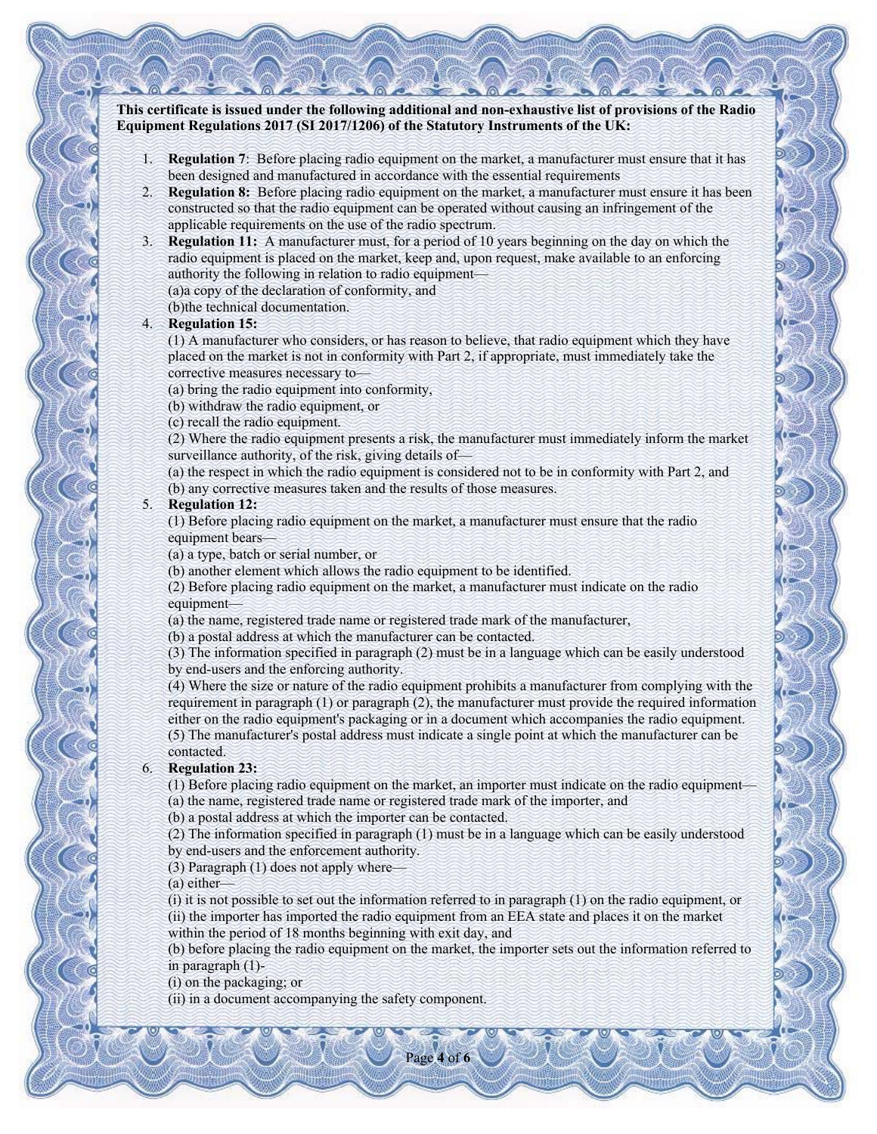**This certificate is issued under the following additional and non-exhaustive list of provisions of the Radio Equipment Regulations 2017 (SI 2017/1206) of the Statutory Instruments of the UK:** 

- 1. **Regulation 7**: Before placing radio equipment on the market, a manufacturer must ensure that it has been designed and manufactured in accordance with the essential requirements
- 2. **Regulation 8:** Before placing radio equipment on the market, a manufacturer must ensure it has been constructed so that the radio equipment can be operated without causing an infringement of the applicable requirements on the use of the radio spectrum.
- 3. **Regulation 11:** A manufacturer must, for a period of 10 years beginning on the day on which the radio equipment is placed on the market, keep and, upon request, make available to an enforcing authority the following in relation to radio equipment—
	- (a)a copy of the declaration of conformity, and
	- (b)the technical documentation.

#### 4. **Regulation 15:**

(1) A manufacturer who considers, or has reason to believe, that radio equipment which they have placed on the market is not in conformity with Part 2, if appropriate, must immediately take the corrective measures necessary to—

- (a) bring the radio equipment into conformity,
- (b) withdraw the radio equipment, or
- (c) recall the radio equipment.

(2) Where the radio equipment presents a risk, the manufacturer must immediately inform the market surveillance authority, of the risk, giving details of—

(a) the respect in which the radio equipment is considered not to be in conformity with Part 2, and

(b) any corrective measures taken and the results of those measures.

## 5. **Regulation 12:**

(1) Before placing radio equipment on the market, a manufacturer must ensure that the radio equipment bears—

- (a) a type, batch or serial number, or
- (b) another element which allows the radio equipment to be identified.

(2) Before placing radio equipment on the market, a manufacturer must indicate on the radio equipment—

(a) the name, registered trade name or registered trade mark of the manufacturer,

(b) a postal address at which the manufacturer can be contacted.

(3) The information specified in paragraph (2) must be in a language which can be easily understood by end-users and the enforcing authority.

(4) Where the size or nature of the radio equipment prohibits a manufacturer from complying with the requirement in paragraph (1) or paragraph (2), the manufacturer must provide the required information either on the radio equipment's packaging or in a document which accompanies the radio equipment. (5) The manufacturer's postal address must indicate a single point at which the manufacturer can be contacted.

#### 6. **Regulation 23:**

(1) Before placing radio equipment on the market, an importer must indicate on the radio equipment— (a) the name, registered trade name or registered trade mark of the importer, and

(b) a postal address at which the importer can be contacted.

(2) The information specified in paragraph (1) must be in a language which can be easily understood by end-users and the enforcement authority.

(3) Paragraph (1) does not apply where—

(a) either—

(i) it is not possible to set out the information referred to in paragraph (1) on the radio equipment, or (ii) the importer has imported the radio equipment from an EEA state and places it on the market within the period of 18 months beginning with exit day, and

(b) before placing the radio equipment on the market, the importer sets out the information referred to in paragraph (1)-

(i) on the packaging; or

(ii) in a document accompanying the safety component.

Page **4** of **6**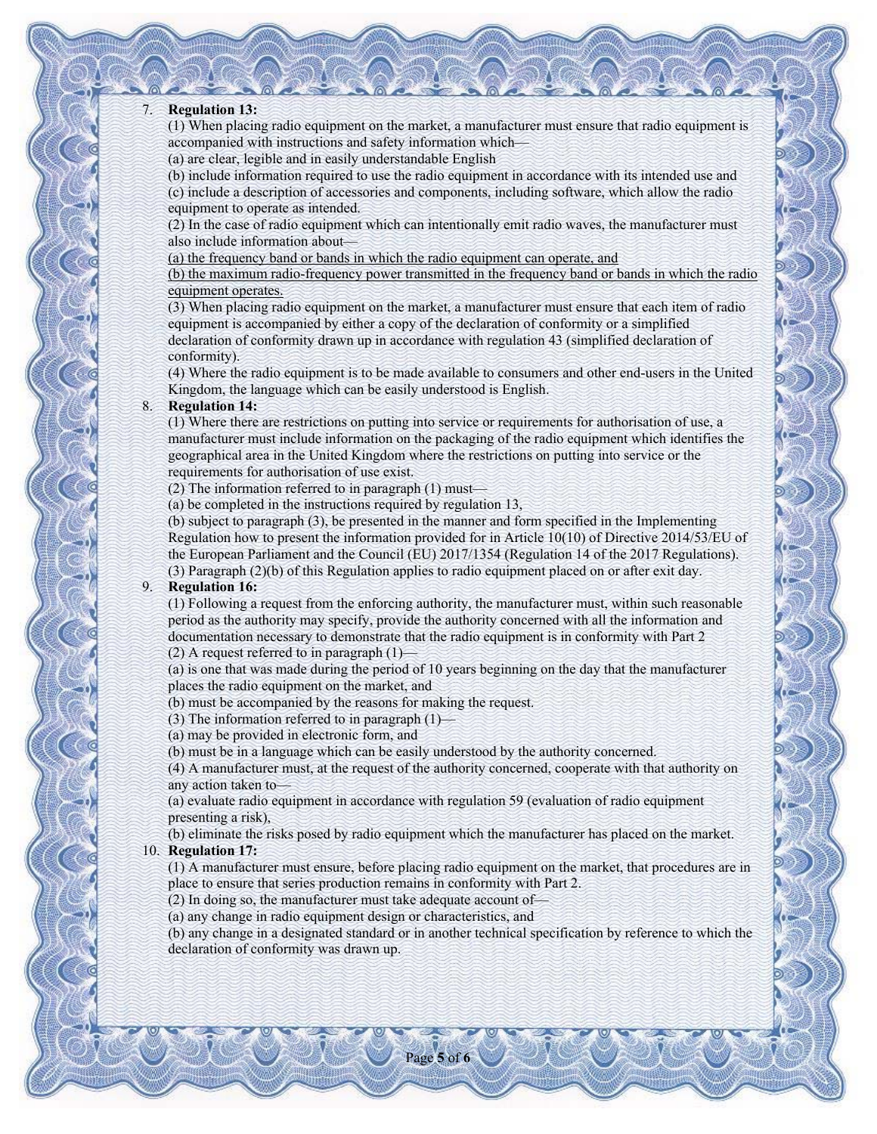#### 7. **Regulation 13:**

(1) When placing radio equipment on the market, a manufacturer must ensure that radio equipment is accompanied with instructions and safety information which—

(a) are clear, legible and in easily understandable English

(b) include information required to use the radio equipment in accordance with its intended use and (c) include a description of accessories and components, including software, which allow the radio equipment to operate as intended.

(2) In the case of radio equipment which can intentionally emit radio waves, the manufacturer must also include information about—

(a) the frequency band or bands in which the radio equipment can operate, and

(b) the maximum radio-frequency power transmitted in the frequency band or bands in which the radio equipment operates.

(3) When placing radio equipment on the market, a manufacturer must ensure that each item of radio equipment is accompanied by either a copy of the declaration of conformity or a simplified declaration of conformity drawn up in accordance with regulation 43 (simplified declaration of conformity).

(4) Where the radio equipment is to be made available to consumers and other end-users in the United Kingdom, the language which can be easily understood is English.

## 8. **Regulation 14:**

(1) Where there are restrictions on putting into service or requirements for authorisation of use, a manufacturer must include information on the packaging of the radio equipment which identifies the geographical area in the United Kingdom where the restrictions on putting into service or the requirements for authorisation of use exist.

(2) The information referred to in paragraph (1) must—

(a) be completed in the instructions required by regulation 13,

(b) subject to paragraph (3), be presented in the manner and form specified in the Implementing Regulation how to present the information provided for in Article 10(10) of Directive 2014/53/EU of the European Parliament and the Council (EU) 2017/1354 (Regulation 14 of the 2017 Regulations). (3) Paragraph (2)(b) of this Regulation applies to radio equipment placed on or after exit day.

#### 9. **Regulation 16:**

(1) Following a request from the enforcing authority, the manufacturer must, within such reasonable period as the authority may specify, provide the authority concerned with all the information and documentation necessary to demonstrate that the radio equipment is in conformity with Part 2 (2) A request referred to in paragraph  $(1)$ —

(a) is one that was made during the period of 10 years beginning on the day that the manufacturer places the radio equipment on the market, and

(b) must be accompanied by the reasons for making the request.

(3) The information referred to in paragraph  $(1)$ —

(a) may be provided in electronic form, and

(b) must be in a language which can be easily understood by the authority concerned.

(4) A manufacturer must, at the request of the authority concerned, cooperate with that authority on any action taken to—

(a) evaluate radio equipment in accordance with regulation 59 (evaluation of radio equipment presenting a risk),

(b) eliminate the risks posed by radio equipment which the manufacturer has placed on the market. 10. **Regulation 17:** 

(1) A manufacturer must ensure, before placing radio equipment on the market, that procedures are in place to ensure that series production remains in conformity with Part 2.

(2) In doing so, the manufacturer must take adequate account of—

(a) any change in radio equipment design or characteristics, and

(b) any change in a designated standard or in another technical specification by reference to which the declaration of conformity was drawn up.